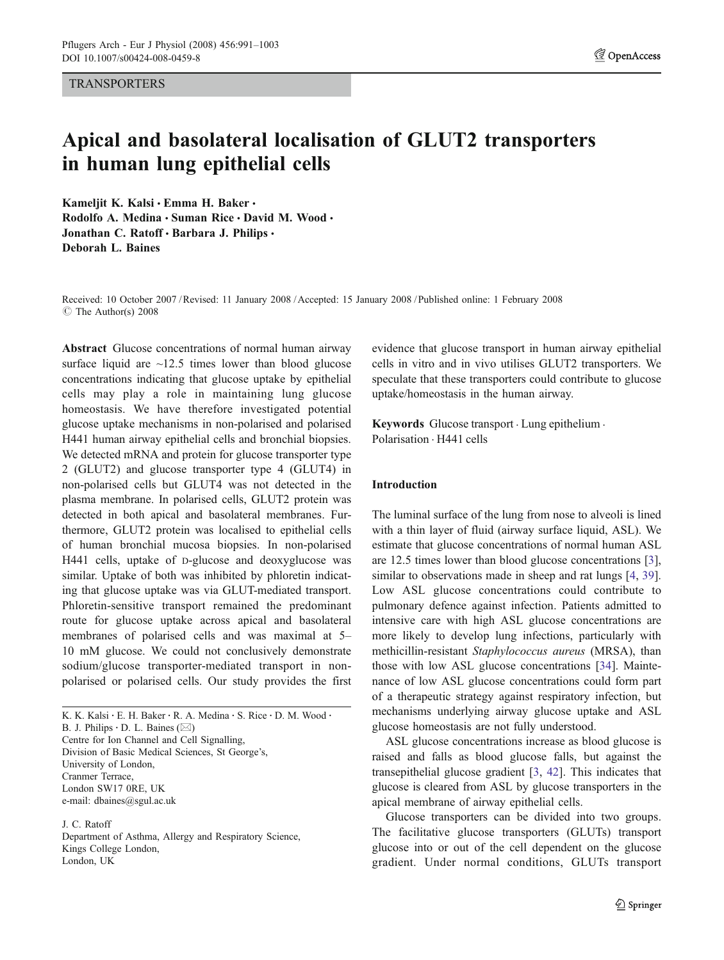**TRANSPORTERS** 

# Apical and basolateral localisation of GLUT2 transporters in human lung epithelial cells

Kameljit K. Kalsi · Emma H. Baker · Rodolfo A. Medina · Suman Rice · David M. Wood · Jonathan C. Ratoff · Barbara J. Philips · Deborah L. Baines

Received: 10 October 2007 /Revised: 11 January 2008 /Accepted: 15 January 2008 / Published online: 1 February 2008  $\circ$  The Author(s) 2008

Abstract Glucose concentrations of normal human airway surface liquid are  $\sim$ 12.5 times lower than blood glucose concentrations indicating that glucose uptake by epithelial cells may play a role in maintaining lung glucose homeostasis. We have therefore investigated potential glucose uptake mechanisms in non-polarised and polarised H441 human airway epithelial cells and bronchial biopsies. We detected mRNA and protein for glucose transporter type 2 (GLUT2) and glucose transporter type 4 (GLUT4) in non-polarised cells but GLUT4 was not detected in the plasma membrane. In polarised cells, GLUT2 protein was detected in both apical and basolateral membranes. Furthermore, GLUT2 protein was localised to epithelial cells of human bronchial mucosa biopsies. In non-polarised H441 cells, uptake of D-glucose and deoxyglucose was similar. Uptake of both was inhibited by phloretin indicating that glucose uptake was via GLUT-mediated transport. Phloretin-sensitive transport remained the predominant route for glucose uptake across apical and basolateral membranes of polarised cells and was maximal at 5– 10 mM glucose. We could not conclusively demonstrate sodium/glucose transporter-mediated transport in nonpolarised or polarised cells. Our study provides the first

K. K. Kalsi · E. H. Baker · R. A. Medina · S. Rice · D. M. Wood · B. J. Philips  $\cdot$  D. L. Baines ( $\boxtimes$ ) Centre for Ion Channel and Cell Signalling, Division of Basic Medical Sciences, St George's, University of London, Cranmer Terrace, London SW17 0RE, UK e-mail: dbaines@sgul.ac.uk

J. C. Ratoff Department of Asthma, Allergy and Respiratory Science, Kings College London, London, UK

evidence that glucose transport in human airway epithelial cells in vitro and in vivo utilises GLUT2 transporters. We speculate that these transporters could contribute to glucose uptake/homeostasis in the human airway.

Keywords Glucose transport . Lung epithelium . Polarisation . H441 cells

# Introduction

The luminal surface of the lung from nose to alveoli is lined with a thin layer of fluid (airway surface liquid, ASL). We estimate that glucose concentrations of normal human ASL are 12.5 times lower than blood glucose concentrations [[3\]](#page-11-0), similar to observations made in sheep and rat lungs [\[4](#page-11-0), [39\]](#page-12-0). Low ASL glucose concentrations could contribute to pulmonary defence against infection. Patients admitted to intensive care with high ASL glucose concentrations are more likely to develop lung infections, particularly with methicillin-resistant Staphylococcus aureus (MRSA), than those with low ASL glucose concentrations [\[34](#page-12-0)]. Maintenance of low ASL glucose concentrations could form part of a therapeutic strategy against respiratory infection, but mechanisms underlying airway glucose uptake and ASL glucose homeostasis are not fully understood.

ASL glucose concentrations increase as blood glucose is raised and falls as blood glucose falls, but against the transepithelial glucose gradient [[3,](#page-11-0) [42](#page-12-0)]. This indicates that glucose is cleared from ASL by glucose transporters in the apical membrane of airway epithelial cells.

Glucose transporters can be divided into two groups. The facilitative glucose transporters (GLUTs) transport glucose into or out of the cell dependent on the glucose gradient. Under normal conditions, GLUTs transport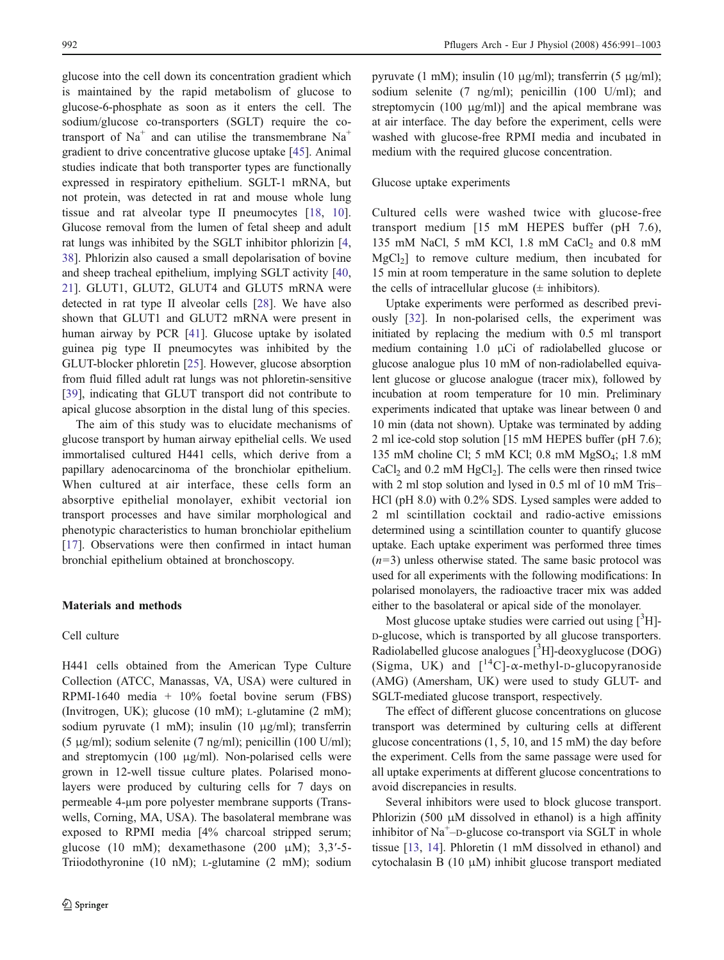glucose into the cell down its concentration gradient which is maintained by the rapid metabolism of glucose to glucose-6-phosphate as soon as it enters the cell. The sodium/glucose co-transporters (SGLT) require the cotransport of  $Na<sup>+</sup>$  and can utilise the transmembrane  $Na<sup>+</sup>$ gradient to drive concentrative glucose uptake [\[45\]](#page-12-0). Animal studies indicate that both transporter types are functionally expressed in respiratory epithelium. SGLT-1 mRNA, but not protein, was detected in rat and mouse whole lung tissue and rat alveolar type II pneumocytes [\[18](#page-11-0), [10](#page-11-0)]. Glucose removal from the lumen of fetal sheep and adult rat lungs was inhibited by the SGLT inhibitor phlorizin [[4,](#page-11-0) [38](#page-12-0)]. Phlorizin also caused a small depolarisation of bovine and sheep tracheal epithelium, implying SGLT activity [[40,](#page-12-0) [21](#page-11-0)]. GLUT1, GLUT2, GLUT4 and GLUT5 mRNA were detected in rat type II alveolar cells [[28\]](#page-12-0). We have also shown that GLUT1 and GLUT2 mRNA were present in human airway by PCR [\[41](#page-12-0)]. Glucose uptake by isolated guinea pig type II pneumocytes was inhibited by the GLUT-blocker phloretin [\[25](#page-11-0)]. However, glucose absorption from fluid filled adult rat lungs was not phloretin-sensitive [\[39](#page-12-0)], indicating that GLUT transport did not contribute to apical glucose absorption in the distal lung of this species.

The aim of this study was to elucidate mechanisms of glucose transport by human airway epithelial cells. We used immortalised cultured H441 cells, which derive from a papillary adenocarcinoma of the bronchiolar epithelium. When cultured at air interface, these cells form an absorptive epithelial monolayer, exhibit vectorial ion transport processes and have similar morphological and phenotypic characteristics to human bronchiolar epithelium [\[17](#page-11-0)]. Observations were then confirmed in intact human bronchial epithelium obtained at bronchoscopy.

# Materials and methods

# Cell culture

H441 cells obtained from the American Type Culture Collection (ATCC, Manassas, VA, USA) were cultured in RPMI-1640 media + 10% foetal bovine serum (FBS) (Invitrogen, UK); glucose (10 mM); L-glutamine (2 mM); sodium pyruvate (1 mM); insulin (10 μg/ml); transferrin (5 μg/ml); sodium selenite (7 ng/ml); penicillin (100 U/ml); and streptomycin (100 μg/ml). Non-polarised cells were grown in 12-well tissue culture plates. Polarised monolayers were produced by culturing cells for 7 days on permeable 4-µm pore polyester membrane supports (Transwells, Corning, MA, USA). The basolateral membrane was exposed to RPMI media [4% charcoal stripped serum; glucose (10 mM); dexamethasone (200 μM); 3,3′-5- Triiodothyronine (10 nM); L-glutamine (2 mM); sodium pyruvate (1 mM); insulin (10 μg/ml); transferrin (5 μg/ml); sodium selenite (7 ng/ml); penicillin (100 U/ml); and streptomycin  $(100 \mu g/ml)$ ] and the apical membrane was at air interface. The day before the experiment, cells were washed with glucose-free RPMI media and incubated in medium with the required glucose concentration.

### Glucose uptake experiments

Cultured cells were washed twice with glucose-free transport medium [15 mM HEPES buffer (pH 7.6), 135 mM NaCl, 5 mM KCl, 1.8 mM CaCl<sub>2</sub> and 0.8 mM  $MgCl<sub>2</sub>$ ] to remove culture medium, then incubated for 15 min at room temperature in the same solution to deplete the cells of intracellular glucose  $(\pm$  inhibitors).

Uptake experiments were performed as described previously [\[32](#page-12-0)]. In non-polarised cells, the experiment was initiated by replacing the medium with 0.5 ml transport medium containing 1.0 μCi of radiolabelled glucose or glucose analogue plus 10 mM of non-radiolabelled equivalent glucose or glucose analogue (tracer mix), followed by incubation at room temperature for 10 min. Preliminary experiments indicated that uptake was linear between 0 and 10 min (data not shown). Uptake was terminated by adding 2 ml ice-cold stop solution [15 mM HEPES buffer (pH 7.6); 135 mM choline Cl; 5 mM KCl; 0.8 mM MgSO4; 1.8 mM CaCl<sub>2</sub> and 0.2 mM HgCl<sub>2</sub>]. The cells were then rinsed twice with 2 ml stop solution and lysed in 0.5 ml of 10 mM Tris– HCl (pH 8.0) with 0.2% SDS. Lysed samples were added to 2 ml scintillation cocktail and radio-active emissions determined using a scintillation counter to quantify glucose uptake. Each uptake experiment was performed three times  $(n=3)$  unless otherwise stated. The same basic protocol was used for all experiments with the following modifications: In polarised monolayers, the radioactive tracer mix was added either to the basolateral or apical side of the monolayer.

Most glucose uptake studies were carried out using  $[^3H]$ -D-glucose, which is transported by all glucose transporters. Radiolabelled glucose analogues [3H]-deoxyglucose (DOG) (Sigma, UK) and  $\left[ {}^{14}C \right]$ - $\alpha$ -methyl-D-glucopyranoside (AMG) (Amersham, UK) were used to study GLUT- and SGLT-mediated glucose transport, respectively.

The effect of different glucose concentrations on glucose transport was determined by culturing cells at different glucose concentrations (1, 5, 10, and 15 mM) the day before the experiment. Cells from the same passage were used for all uptake experiments at different glucose concentrations to avoid discrepancies in results.

Several inhibitors were used to block glucose transport. Phlorizin (500  $\mu$ M dissolved in ethanol) is a high affinity inhibitor of Na<sup>+</sup>-D-glucose co-transport via SGLT in whole tissue [\[13](#page-11-0), [14](#page-11-0)]. Phloretin (1 mM dissolved in ethanol) and cytochalasin B (10 μM) inhibit glucose transport mediated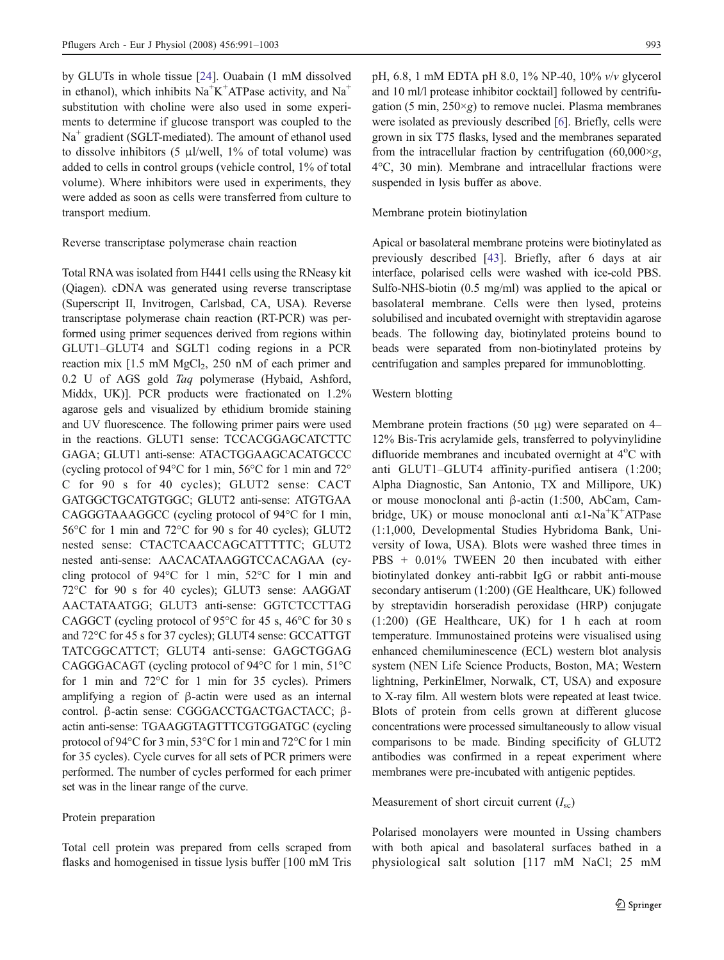by GLUTs in whole tissue [[24\]](#page-11-0). Ouabain (1 mM dissolved in ethanol), which inhibits  $Na<sup>+</sup>K<sup>+</sup>ATPase$  activity, and  $Na<sup>+</sup>$ substitution with choline were also used in some experiments to determine if glucose transport was coupled to the  $Na<sup>+</sup>$  gradient (SGLT-mediated). The amount of ethanol used to dissolve inhibitors (5  $\mu$ l/well, 1% of total volume) was added to cells in control groups (vehicle control, 1% of total volume). Where inhibitors were used in experiments, they were added as soon as cells were transferred from culture to transport medium.

# Reverse transcriptase polymerase chain reaction

Total RNA was isolated from H441 cells using the RNeasy kit (Qiagen). cDNA was generated using reverse transcriptase (Superscript II, Invitrogen, Carlsbad, CA, USA). Reverse transcriptase polymerase chain reaction (RT-PCR) was performed using primer sequences derived from regions within GLUT1–GLUT4 and SGLT1 coding regions in a PCR reaction mix  $[1.5 \text{ mM MgCl}_2, 250 \text{ nM of each primer and}]$ 0.2 U of AGS gold Taq polymerase (Hybaid, Ashford, Middx, UK)]. PCR products were fractionated on 1.2% agarose gels and visualized by ethidium bromide staining and UV fluorescence. The following primer pairs were used in the reactions. GLUT1 sense: TCCACGGAGCATCTTC GAGA; GLUT1 anti-sense: ATACTGGAAGCACATGCCC (cycling protocol of 94°C for 1 min, 56°C for 1 min and 72° C for 90 s for 40 cycles); GLUT2 sense: CACT GATGGCTGCATGTGGC; GLUT2 anti-sense: ATGTGAA CAGGGTAAAGGCC (cycling protocol of 94°C for 1 min, 56°C for 1 min and 72°C for 90 s for 40 cycles); GLUT2 nested sense: CTACTCAACCAGCATTTTTC; GLUT2 nested anti-sense: AACACATAAGGTCCACAGAA (cycling protocol of 94°C for 1 min, 52°C for 1 min and 72°C for 90 s for 40 cycles); GLUT3 sense: AAGGAT AACTATAATGG; GLUT3 anti-sense: GGTCTCCTTAG CAGGCT (cycling protocol of 95°C for 45 s, 46°C for 30 s and 72°C for 45 s for 37 cycles); GLUT4 sense: GCCATTGT TATCGGCATTCT; GLUT4 anti-sense: GAGCTGGAG CAGGGACAGT (cycling protocol of 94°C for 1 min, 51°C for 1 min and 72°C for 1 min for 35 cycles). Primers amplifying a region of β-actin were used as an internal control. β-actin sense: CGGGACCTGACTGACTACC; βactin anti-sense: TGAAGGTAGTTTCGTGGATGC (cycling protocol of 94°C for 3 min, 53°C for 1 min and 72°C for 1 min for 35 cycles). Cycle curves for all sets of PCR primers were performed. The number of cycles performed for each primer set was in the linear range of the curve.

#### Protein preparation

Total cell protein was prepared from cells scraped from flasks and homogenised in tissue lysis buffer [100 mM Tris pH, 6.8, 1 mM EDTA pH 8.0, 1% NP-40, 10% v/v glycerol and 10 ml/l protease inhibitor cocktail] followed by centrifugation (5 min,  $250 \times g$ ) to remove nuclei. Plasma membranes were isolated as previously described [\[6](#page-11-0)]. Briefly, cells were grown in six T75 flasks, lysed and the membranes separated from the intracellular fraction by centrifugation  $(60,000 \times g,$ 4°C, 30 min). Membrane and intracellular fractions were suspended in lysis buffer as above.

#### Membrane protein biotinylation

Apical or basolateral membrane proteins were biotinylated as previously described [\[43](#page-12-0)]. Briefly, after 6 days at air interface, polarised cells were washed with ice-cold PBS. Sulfo-NHS-biotin (0.5 mg/ml) was applied to the apical or basolateral membrane. Cells were then lysed, proteins solubilised and incubated overnight with streptavidin agarose beads. The following day, biotinylated proteins bound to beads were separated from non-biotinylated proteins by centrifugation and samples prepared for immunoblotting.

### Western blotting

Membrane protein fractions (50  $\mu$ g) were separated on 4– 12% Bis-Tris acrylamide gels, transferred to polyvinylidine difluoride membranes and incubated overnight at 4°C with anti GLUT1–GLUT4 affinity-purified antisera (1:200; Alpha Diagnostic, San Antonio, TX and Millipore, UK) or mouse monoclonal anti β-actin (1:500, AbCam, Cambridge, UK) or mouse monoclonal anti  $\alpha$ 1-Na<sup>+</sup>K<sup>+</sup>ATPase (1:1,000, Developmental Studies Hybridoma Bank, University of Iowa, USA). Blots were washed three times in PBS + 0.01% TWEEN 20 then incubated with either biotinylated donkey anti-rabbit IgG or rabbit anti-mouse secondary antiserum (1:200) (GE Healthcare, UK) followed by streptavidin horseradish peroxidase (HRP) conjugate (1:200) (GE Healthcare, UK) for 1 h each at room temperature. Immunostained proteins were visualised using enhanced chemiluminescence (ECL) western blot analysis system (NEN Life Science Products, Boston, MA; Western lightning, PerkinElmer, Norwalk, CT, USA) and exposure to X-ray film. All western blots were repeated at least twice. Blots of protein from cells grown at different glucose concentrations were processed simultaneously to allow visual comparisons to be made. Binding specificity of GLUT2 antibodies was confirmed in a repeat experiment where membranes were pre-incubated with antigenic peptides.

#### Measurement of short circuit current  $(I_{\rm sc})$

Polarised monolayers were mounted in Ussing chambers with both apical and basolateral surfaces bathed in a physiological salt solution [117 mM NaCl; 25 mM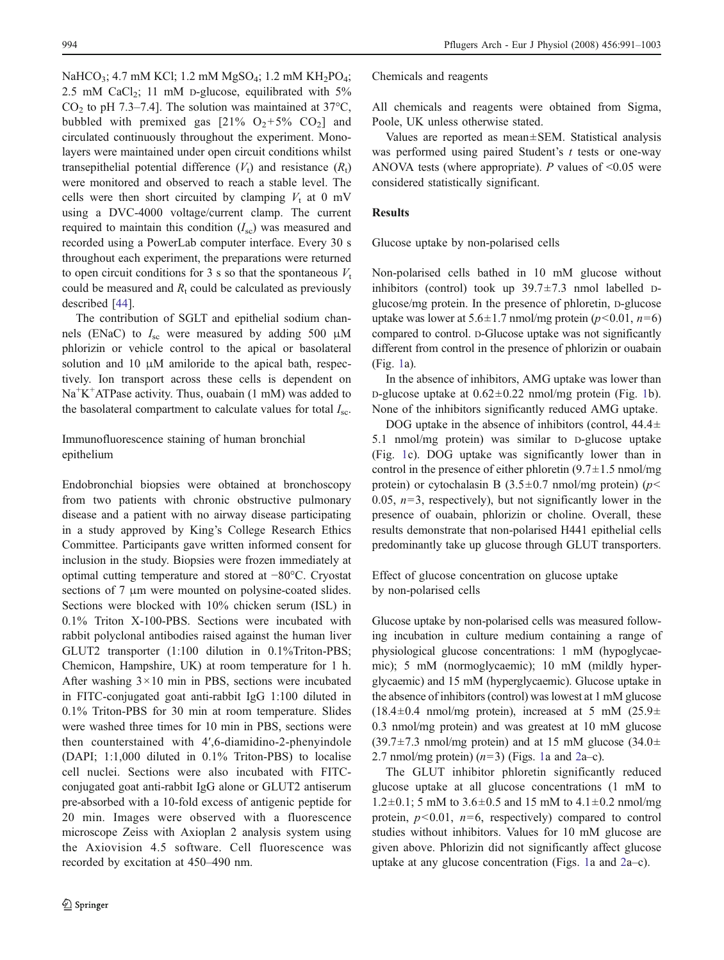NaHCO<sub>3</sub>; 4.7 mM KCl; 1.2 mM MgSO<sub>4</sub>; 1.2 mM KH<sub>2</sub>PO<sub>4</sub>; 2.5 mM CaCl<sub>2</sub>; 11 mM p-glucose, equilibrated with  $5\%$  $CO<sub>2</sub>$  to pH 7.3–7.4]. The solution was maintained at 37°C, bubbled with premixed gas  $[21\% \text{ O}_2 + 5\% \text{ CO}_2]$  and circulated continuously throughout the experiment. Monolayers were maintained under open circuit conditions whilst transepithelial potential difference  $(V_t)$  and resistance  $(R_t)$ were monitored and observed to reach a stable level. The cells were then short circuited by clamping  $V_t$  at 0 mV using a DVC-4000 voltage/current clamp. The current required to maintain this condition  $(I_{\rm sc})$  was measured and recorded using a PowerLab computer interface. Every 30 s throughout each experiment, the preparations were returned to open circuit conditions for 3 s so that the spontaneous  $V_t$ could be measured and  $R_t$  could be calculated as previously described [\[44](#page-12-0)].

The contribution of SGLT and epithelial sodium channels (ENaC) to  $I_{\rm sc}$  were measured by adding 500  $\mu$ M phlorizin or vehicle control to the apical or basolateral solution and 10  $\mu$ M amiloride to the apical bath, respectively. Ion transport across these cells is dependent on Na<sup>+</sup>K<sup>+</sup>ATPase activity. Thus, ouabain (1 mM) was added to the basolateral compartment to calculate values for total  $I_{\rm sc}$ .

# Immunofluorescence staining of human bronchial epithelium

Endobronchial biopsies were obtained at bronchoscopy from two patients with chronic obstructive pulmonary disease and a patient with no airway disease participating in a study approved by King's College Research Ethics Committee. Participants gave written informed consent for inclusion in the study. Biopsies were frozen immediately at optimal cutting temperature and stored at −80°C. Cryostat sections of 7 μm were mounted on polysine-coated slides. Sections were blocked with 10% chicken serum (ISL) in 0.1% Triton X-100-PBS. Sections were incubated with rabbit polyclonal antibodies raised against the human liver GLUT2 transporter (1:100 dilution in 0.1%Triton-PBS; Chemicon, Hampshire, UK) at room temperature for 1 h. After washing  $3 \times 10$  min in PBS, sections were incubated in FITC-conjugated goat anti-rabbit IgG 1:100 diluted in 0.1% Triton-PBS for 30 min at room temperature. Slides were washed three times for 10 min in PBS, sections were then counterstained with 4′,6-diamidino-2-phenyindole (DAPI; 1:1,000 diluted in 0.1% Triton-PBS) to localise cell nuclei. Sections were also incubated with FITCconjugated goat anti-rabbit IgG alone or GLUT2 antiserum pre-absorbed with a 10-fold excess of antigenic peptide for 20 min. Images were observed with a fluorescence microscope Zeiss with Axioplan 2 analysis system using the Axiovision 4.5 software. Cell fluorescence was recorded by excitation at 450–490 nm.

Chemicals and reagents

All chemicals and reagents were obtained from Sigma, Poole, UK unless otherwise stated.

Values are reported as mean±SEM. Statistical analysis was performed using paired Student's  $t$  tests or one-way ANOVA tests (where appropriate). P values of  $\leq 0.05$  were considered statistically significant.

## Results

Glucose uptake by non-polarised cells

Non-polarised cells bathed in 10 mM glucose without inhibitors (control) took up  $39.7 \pm 7.3$  nmol labelled Dglucose/mg protein. In the presence of phloretin, D-glucose uptake was lower at  $5.6 \pm 1.7$  nmol/mg protein ( $p < 0.01$ ,  $n=6$ ) compared to control. D-Glucose uptake was not significantly different from control in the presence of phlorizin or ouabain (Fig. [1a](#page-4-0)).

In the absence of inhibitors, AMG uptake was lower than D-glucose uptake at  $0.62 \pm 0.22$  nmol/mg protein (Fig. [1b](#page-4-0)). None of the inhibitors significantly reduced AMG uptake.

DOG uptake in the absence of inhibitors (control,  $44.4\pm$ 5.1 nmol/mg protein) was similar to D-glucose uptake (Fig. [1c](#page-4-0)). DOG uptake was significantly lower than in control in the presence of either phloretin  $(9.7 \pm 1.5 \text{ mm})/mg$ protein) or cytochalasin B (3.5 $\pm$ 0.7 nmol/mg protein) (p< 0.05,  $n=3$ , respectively), but not significantly lower in the presence of ouabain, phlorizin or choline. Overall, these results demonstrate that non-polarised H441 epithelial cells predominantly take up glucose through GLUT transporters.

Effect of glucose concentration on glucose uptake by non-polarised cells

Glucose uptake by non-polarised cells was measured following incubation in culture medium containing a range of physiological glucose concentrations: 1 mM (hypoglycaemic); 5 mM (normoglycaemic); 10 mM (mildly hyperglycaemic) and 15 mM (hyperglycaemic). Glucose uptake in the absence of inhibitors (control) was lowest at 1 mM glucose  $(18.4\pm0.4 \text{ mmol/mg protein})$ , increased at 5 mM  $(25.9\pm$ 0.3 nmol/mg protein) and was greatest at 10 mM glucose  $(39.7\pm7.3 \text{ mmol/mg protein})$  and at 15 mM glucose  $(34.0\pm$ [2](#page-4-0).7 nmol/mg protein)  $(n=3)$  (Figs. [1a](#page-4-0) and 2a–c).

The GLUT inhibitor phloretin significantly reduced glucose uptake at all glucose concentrations (1 mM to  $1.2\pm0.1$ ; 5 mM to  $3.6\pm0.5$  and 15 mM to  $4.1\pm0.2$  nmol/mg protein,  $p<0.01$ ,  $n=6$ , respectively) compared to control studies without inhibitors. Values for 10 mM glucose are given above. Phlorizin did not significantly affect glucose uptake at any glucose concentration (Figs. [1](#page-4-0)a and [2a](#page-4-0)–c).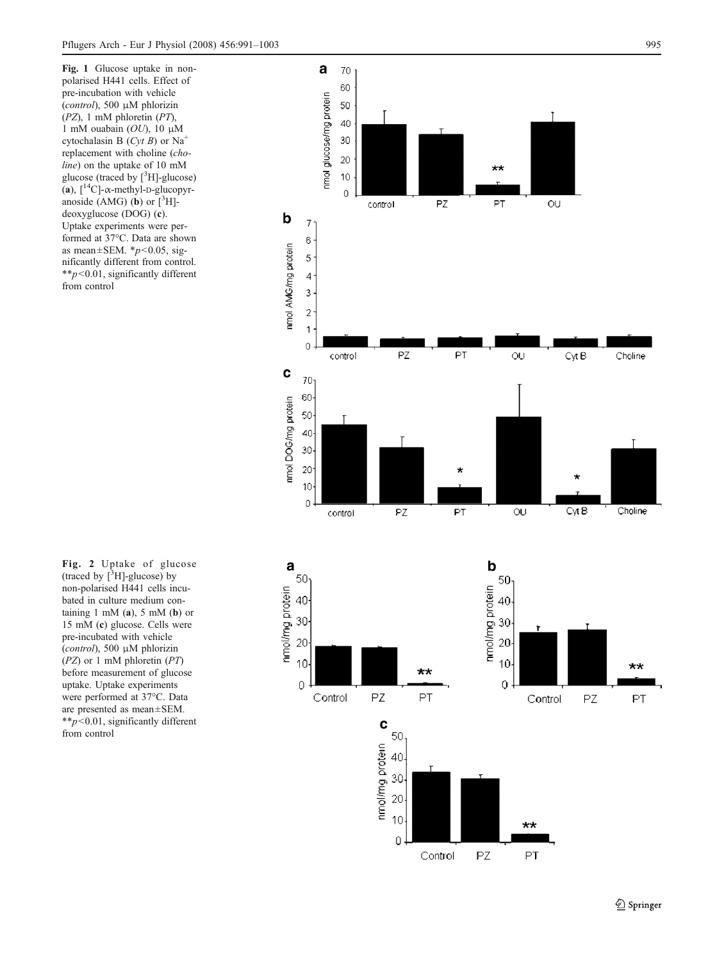<span id="page-4-0"></span>Fig. 1 Glucose uptake in nonpolarised H441 cells. Effect of pre-incubation with vehicle (control), 500 μM phlorizin (PZ), 1 mM phloretin (PT), 1 mM ouabain  $(OU)$ , 10  $\mu$ M cytochalasin B  $(Cyt B)$  or Na<sup>+</sup> replacement with choline (choline) on the uptake of 10 mM glucose (traced by [ 3 H]-glucose) (a),  $[^{14}C]$ - $\alpha$ -methyl-D-glucopyranoside  $(AMG)$  (b) or  $[^{3}H]$ deoxyglucose (DOG) ( c). Uptake experiments were performed at 37°C. Data are shown as mean $\pm$ SEM.  $*p$ <0.05, significantly different from control. \*\*p<0.01, significantly different from control



Control

 $PZ$ 

 $PT$ 

(traced by  $[{}^3H]$ -glucose) by non-polarised H441 cells incubated in culture medium containing  $1 \text{ mM (a)}$ ,  $5 \text{ mM (b)}$  or 15 mM ( c) glucose. Cells were pre-incubated with vehicle (control), 500 μM phlorizin (PZ) or 1 mM phloretin (PT) before measurement of glucose uptake. Uptake experiments were performed at 37°C. Data are presented as mean±SEM.  $*_{p}<sub>0.01</sub>$ , significantly different from control

Fig. 2 Uptake of glucose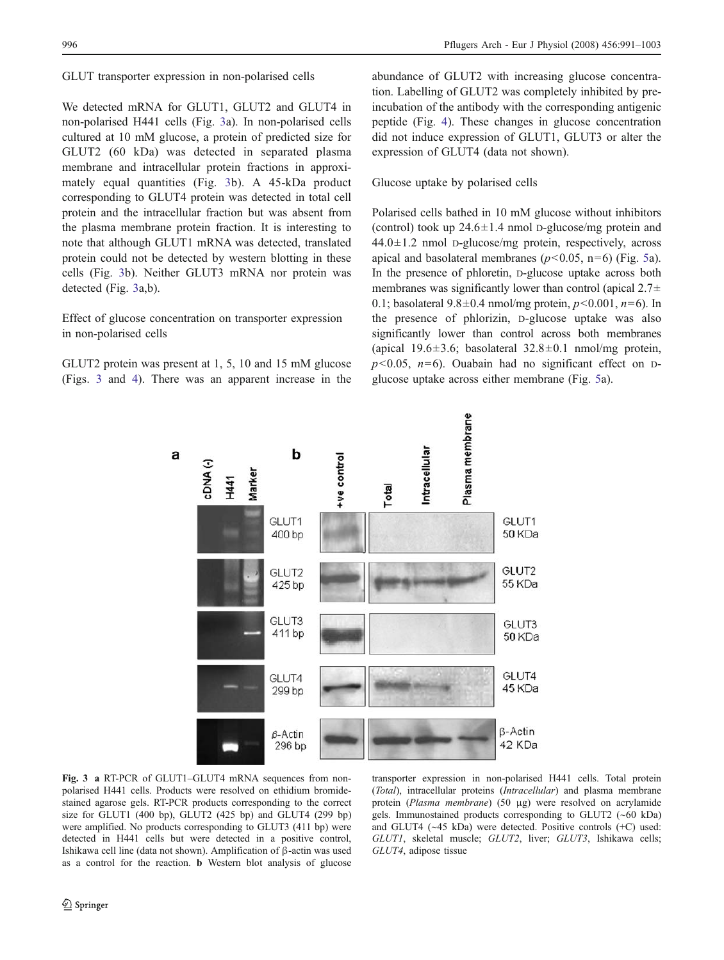### GLUT transporter expression in non-polarised cells

We detected mRNA for GLUT1, GLUT2 and GLUT4 in non-polarised H441 cells (Fig. 3a). In non-polarised cells cultured at 10 mM glucose, a protein of predicted size for GLUT2 (60 kDa) was detected in separated plasma membrane and intracellular protein fractions in approximately equal quantities (Fig. 3b). A 45-kDa product corresponding to GLUT4 protein was detected in total cell protein and the intracellular fraction but was absent from the plasma membrane protein fraction. It is interesting to note that although GLUT1 mRNA was detected, translated protein could not be detected by western blotting in these cells (Fig. 3b). Neither GLUT3 mRNA nor protein was detected (Fig. 3a,b).

# Effect of glucose concentration on transporter expression in non-polarised cells

GLUT2 protein was present at 1, 5, 10 and 15 mM glucose (Figs. 3 and [4\)](#page-6-0). There was an apparent increase in the

abundance of GLUT2 with increasing glucose concentration. Labelling of GLUT2 was completely inhibited by preincubation of the antibody with the corresponding antigenic peptide (Fig. [4](#page-6-0)). These changes in glucose concentration did not induce expression of GLUT1, GLUT3 or alter the expression of GLUT4 (data not shown).

# Glucose uptake by polarised cells

Polarised cells bathed in 10 mM glucose without inhibitors (control) took up  $24.6 \pm 1.4$  nmol D-glucose/mg protein and  $44.0 \pm 1.2$  nmol p-glucose/mg protein, respectively, across apical and basolateral membranes ( $p$ <0.0[5](#page-6-0), n=6) (Fig. 5a). In the presence of phloretin, D-glucose uptake across both membranes was significantly lower than control (apical  $2.7\pm$ 0.1; basolateral  $9.8 \pm 0.4$  nmol/mg protein,  $p < 0.001$ ,  $n = 6$ ). In the presence of phlorizin, D-glucose uptake was also significantly lower than control across both membranes (apical 19.6 $\pm$ 3.6; basolateral 32.8 $\pm$ 0.1 nmol/mg protein,  $p<0.05$ ,  $n=6$ ). Ouabain had no significant effect on Dglucose uptake across either membrane (Fig. [5a](#page-6-0)).



Fig. 3 a RT-PCR of GLUT1–GLUT4 mRNA sequences from nonpolarised H441 cells. Products were resolved on ethidium bromidestained agarose gels. RT-PCR products corresponding to the correct size for GLUT1 (400 bp), GLUT2 (425 bp) and GLUT4 (299 bp) were amplified. No products corresponding to GLUT3 (411 bp) were detected in H441 cells but were detected in a positive control, Ishikawa cell line (data not shown). Amplification of β-actin was used as a control for the reaction. b Western blot analysis of glucose

transporter expression in non-polarised H441 cells. Total protein (Total), intracellular proteins (Intracellular) and plasma membrane protein (Plasma membrane) (50 μg) were resolved on acrylamide gels. Immunostained products corresponding to GLUT2 (∼60 kDa) and GLUT4 (∼45 kDa) were detected. Positive controls (+C) used: GLUT1, skeletal muscle; GLUT2, liver; GLUT3, Ishikawa cells; GLUT4, adipose tissue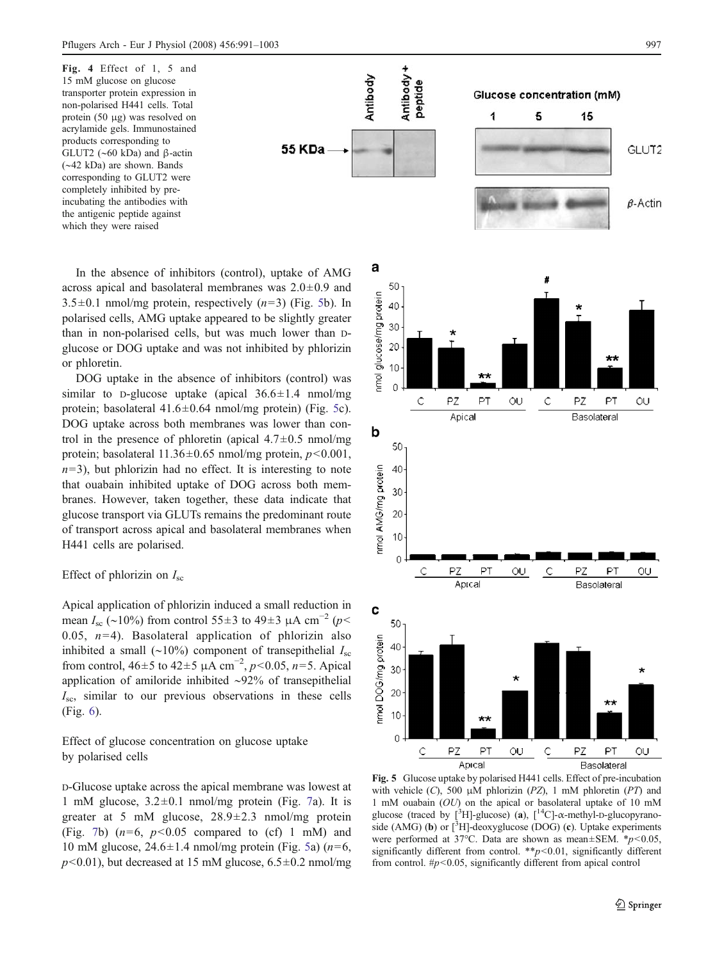<span id="page-6-0"></span>Fig. 4 Effect of 1, 5 and 15 mM glucose on glucose transporter protein expression in non-polarised H441 cells. Total protein (50 μg) was resolved on acrylamide gels. Immunostained products corresponding to GLUT2 (∼60 kDa) and β-actin (∼42 kDa) are shown. Bands corresponding to GLUT2 were completely inhibited by preincubating the antibodies with the antigenic peptide against which they were raised

In the absence of inhibitors (control), uptake of AMG across apical and basolateral membranes was 2.0±0.9 and  $3.5\pm0.1$  nmol/mg protein, respectively  $(n=3)$  (Fig. 5b). In polarised cells, AMG uptake appeared to be slightly greater than in non-polarised cells, but was much lower than Dglucose or DOG uptake and was not inhibited by phlorizin or phloretin.

**55 KDa** 

DOG uptake in the absence of inhibitors (control) was similar to D-glucose uptake (apical  $36.6 \pm 1.4$  nmol/mg protein; basolateral  $41.6 \pm 0.64$  nmol/mg protein) (Fig. 5c). DOG uptake across both membranes was lower than control in the presence of phloretin (apical  $4.7\pm0.5$  nmol/mg protein; basolateral  $11.36 \pm 0.65$  nmol/mg protein,  $p < 0.001$ ,  $n=3$ ), but phlorizin had no effect. It is interesting to note that ouabain inhibited uptake of DOG across both membranes. However, taken together, these data indicate that glucose transport via GLUTs remains the predominant route of transport across apical and basolateral membranes when H441 cells are polarised.

## Effect of phlorizin on  $I_{\rm sc}$

Apical application of phlorizin induced a small reduction in mean  $I_{\rm sc}$  (~10%) from control 55±3 to 49±3  $\mu$ A cm<sup>-2</sup> (p< 0.05,  $n=4$ ). Basolateral application of phlorizin also inhibited a small (∼10%) component of transepithelial  $I_{\rm sc}$ from control,  $46±5$  to  $42±5 \mu A \text{ cm}^{-2}$ ,  $p<0.05$ ,  $n=5$ . Apical application of amiloride inhibited ∼92% of transepithelial  $I_{\rm sc}$ , similar to our previous observations in these cells (Fig. [6](#page-7-0)).

Effect of glucose concentration on glucose uptake by polarised cells

D-Glucose uptake across the apical membrane was lowest at 1 mM glucose,  $3.2 \pm 0.1$  nmol/mg protein (Fig. [7](#page-7-0)a). It is greater at 5 mM glucose, 28.9±2.3 nmol/mg protein (Fig. [7b](#page-7-0))  $(n=6, p<0.05$  compared to (cf) 1 mM) and 10 mM glucose,  $24.6 \pm 1.4$  nmol/mg protein (Fig. 5a) ( $n=6$ ,  $p<0.01$ ), but decreased at 15 mM glucose, 6.5 $\pm$ 0.2 nmol/mg



Apical Basolateral Fig. 5 Glucose uptake by polarised H441 cells. Effect of pre-incubation with vehicle  $(C)$ , 500  $\mu$ M phlorizin (PZ), 1 mM phloretin (PT) and 1 mM ouabain (OU) on the apical or basolateral uptake of 10 mM glucose (traced by  $[^{3}H]$ -glucose) (a),  $[^{14}C]$ - $\alpha$ -methyl-D-glucopyranoside (AMG) (b) or  $\left[\begin{matrix} 3 \\ 1 \end{matrix}\right]$ -deoxyglucose (DOG) (c). Uptake experiments were performed at 37°C. Data are shown as mean $\pm$ SEM.  $*p$ <0.05, significantly different from control. \*\* $p$ <0.01, significantly different from control.  $\#p<0.05$ , significantly different from apical control

QU

 $\mathsf{C}$ 

PZ

PT

QU

 $\Omega$ 

 $\mathsf C$ 

 $PZ$ 

PT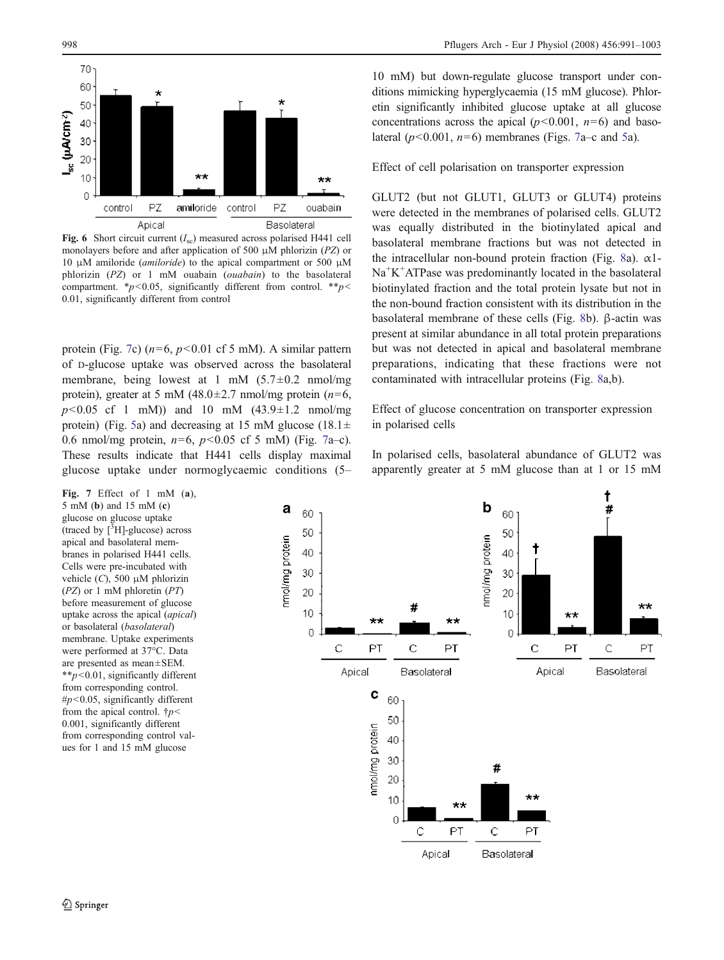<span id="page-7-0"></span>

Fig. 6 Short circuit current  $(I_{\rm sc})$  measured across polarised H441 cell monolayers before and after application of 500  $\mu$ M phlorizin (PZ) or 10 μM amiloride (*amiloride*) to the apical compartment or 500 μM phlorizin (PZ) or 1 mM ouabain (ouabain) to the basolateral compartment. \* $p$ <0.05, significantly different from control. \*\* $p$ < 0.01, significantly different from control

protein (Fig. 7c) ( $n=6$ ,  $p<0.01$  cf 5 mM). A similar pattern of D-glucose uptake was observed across the basolateral membrane, being lowest at 1 mM  $(5.7\pm0.2 \text{ mm})/\text{mg}$ protein), greater at 5 mM (48.0 $\pm$ 2.7 nmol/mg protein (n=6,  $p<0.05$  cf 1 mM)) and 10 mM  $(43.9 \pm 1.2 \text{ nmol/mg})$ protein) (Fig. [5](#page-6-0)a) and decreasing at 15 mM glucose (18.1 $\pm$ 0.6 nmol/mg protein,  $n=6$ ,  $p<0.05$  cf 5 mM) (Fig. 7a–c). These results indicate that H441 cells display maximal glucose uptake under normoglycaemic conditions (5–

Fig. 7 Effect of 1 mM  $(a)$ , 5 mM (b) and 15 mM (c) glucose on glucose uptake (traced by  $\left[\begin{matrix} \overline{3} \\ \end{matrix}\right]$ -glucose) across apical and basolateral membranes in polarised H441 cells. Cells were pre-incubated with vehicle  $(C)$ , 500  $\mu$ M phlorizin (PZ) or 1 mM phloretin (PT) before measurement of glucose uptake across the apical (apical) or basolateral (basolateral) membrane. Uptake experiments were performed at 37°C. Data are presented as mean±SEM.  $*p<0.01$ , significantly different from corresponding control.  $\#p$ <0.05, significantly different from the apical control.  $\dagger p$  < 0.001, significantly different from corresponding control values for 1 and 15 mM glucose

GLUT2 (but not GLUT1, GLUT3 or GLUT4) proteins were detected in the membranes of polarised cells. GLUT2 was equally distributed in the biotinylated apical and basolateral membrane fractions but was not detected in the intracellular non-bound protein fraction (Fig. [8](#page-8-0)a).  $\alpha$ 1-Na<sup>+</sup>K<sup>+</sup>ATPase was predominantly located in the basolateral biotinylated fraction and the total protein lysate but not in the non-bound fraction consistent with its distribution in the basolateral membrane of these cells (Fig. [8](#page-8-0)b). β-actin was present at similar abundance in all total protein preparations but was not detected in apical and basolateral membrane preparations, indicating that these fractions were not contaminated with intracellular proteins (Fig. [8a](#page-8-0),b).

Effect of glucose concentration on transporter expression in polarised cells

In polarised cells, basolateral abundance of GLUT2 was apparently greater at 5 mM glucose than at 1 or 15 mM



10 mM) but down-regulate glucose transport under conditions mimicking hyperglycaemia (15 mM glucose). Phloretin significantly inhibited glucose uptake at all glucose concentrations across the apical ( $p < 0.001$ ,  $n=6$ ) and basolateral  $(p<0.001, n=6)$  membranes (Figs. 7a–c and [5a](#page-6-0)).

Effect of cell polarisation on transporter expression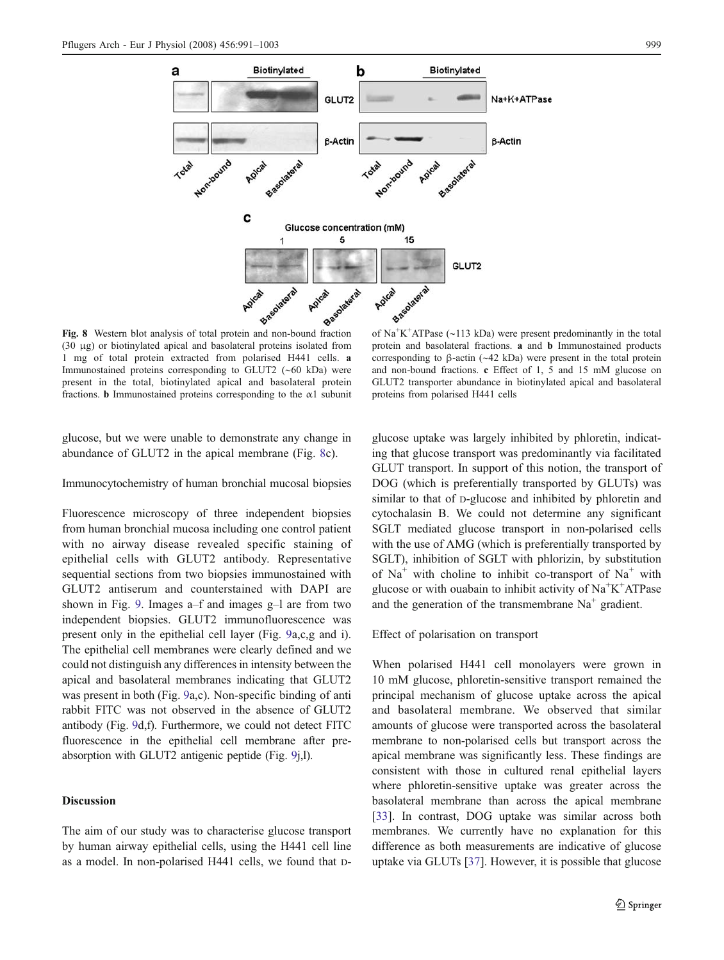<span id="page-8-0"></span>

Fig. 8 Western blot analysis of total protein and non-bound fraction (30 μg) or biotinylated apical and basolateral proteins isolated from 1 mg of total protein extracted from polarised H441 cells. a Immunostained proteins corresponding to GLUT2 (∼60 kDa) were present in the total, biotinylated apical and basolateral protein fractions. **b** Immunostained proteins corresponding to the  $\alpha$ 1 subunit

of Na<sup>+</sup>K<sup>+</sup>ATPase (~113 kDa) were present predominantly in the total protein and basolateral fractions. a and b Immunostained products corresponding to β-actin (∼42 kDa) were present in the total protein and non-bound fractions. c Effect of 1, 5 and 15 mM glucose on GLUT2 transporter abundance in biotinylated apical and basolateral proteins from polarised H441 cells

glucose, but we were unable to demonstrate any change in abundance of GLUT2 in the apical membrane (Fig. 8c).

Immunocytochemistry of human bronchial mucosal biopsies

Fluorescence microscopy of three independent biopsies from human bronchial mucosa including one control patient with no airway disease revealed specific staining of epithelial cells with GLUT2 antibody. Representative sequential sections from two biopsies immunostained with GLUT2 antiserum and counterstained with DAPI are shown in Fig. [9](#page-9-0). Images a–f and images g–l are from two independent biopsies. GLUT2 immunofluorescence was present only in the epithelial cell layer (Fig. [9](#page-9-0)a,c,g and i). The epithelial cell membranes were clearly defined and we could not distinguish any differences in intensity between the apical and basolateral membranes indicating that GLUT2 was present in both (Fig. [9](#page-9-0)a,c). Non-specific binding of anti rabbit FITC was not observed in the absence of GLUT2 antibody (Fig. [9d](#page-9-0),f). Furthermore, we could not detect FITC fluorescence in the epithelial cell membrane after preabsorption with GLUT2 antigenic peptide (Fig. [9j](#page-9-0),l).

# Discussion

The aim of our study was to characterise glucose transport by human airway epithelial cells, using the H441 cell line as a model. In non-polarised H441 cells, we found that D- glucose uptake was largely inhibited by phloretin, indicating that glucose transport was predominantly via facilitated GLUT transport. In support of this notion, the transport of DOG (which is preferentially transported by GLUTs) was similar to that of D-glucose and inhibited by phloretin and cytochalasin B. We could not determine any significant SGLT mediated glucose transport in non-polarised cells with the use of AMG (which is preferentially transported by SGLT), inhibition of SGLT with phlorizin, by substitution of  $Na<sup>+</sup>$  with choline to inhibit co-transport of  $Na<sup>+</sup>$  with glucose or with ouabain to inhibit activity of  $Na<sup>+</sup>K<sup>+</sup>ATPase$ and the generation of the transmembrane  $Na<sup>+</sup>$  gradient.

# Effect of polarisation on transport

When polarised H441 cell monolayers were grown in 10 mM glucose, phloretin-sensitive transport remained the principal mechanism of glucose uptake across the apical and basolateral membrane. We observed that similar amounts of glucose were transported across the basolateral membrane to non-polarised cells but transport across the apical membrane was significantly less. These findings are consistent with those in cultured renal epithelial layers where phloretin-sensitive uptake was greater across the basolateral membrane than across the apical membrane [\[33](#page-12-0)]. In contrast, DOG uptake was similar across both membranes. We currently have no explanation for this difference as both measurements are indicative of glucose uptake via GLUTs [\[37](#page-12-0)]. However, it is possible that glucose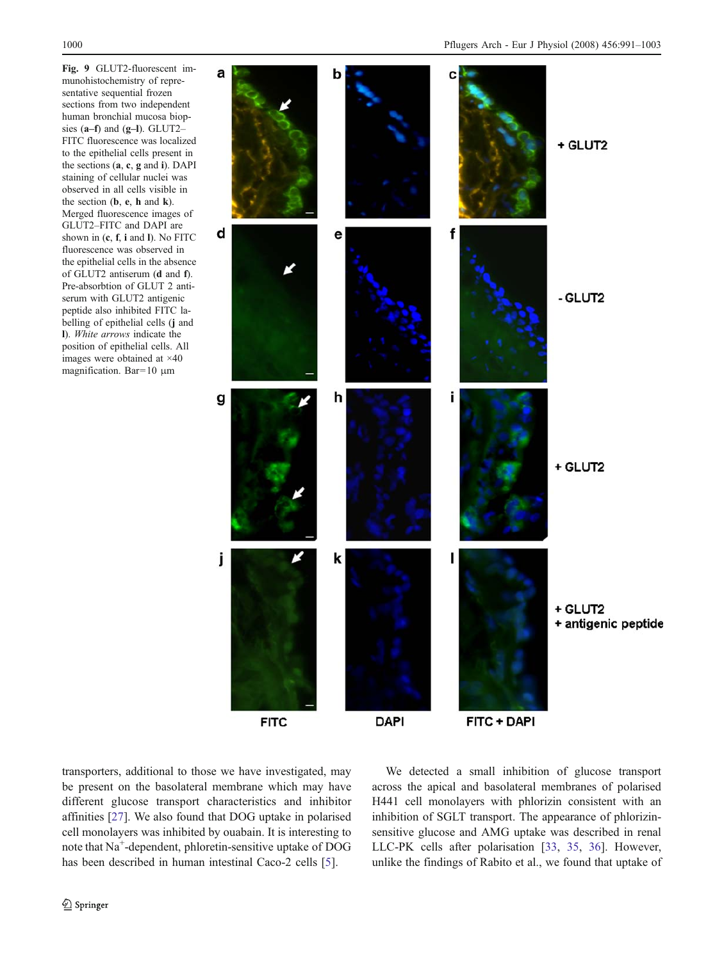<span id="page-9-0"></span>Fig. 9 GLUT2-fluorescent immunohistochemistry of representative sequential frozen sections from two independent human bronchial mucosa biopsies  $(a-f)$  and  $(g-I)$ . GLUT2– FITC fluorescence was localized to the epithelial cells present in the sections (a, c, g and i). DAPI staining of cellular nuclei was observed in all cells visible in the section  $(b, e, h \text{ and } k)$ . Merged fluorescence images of GLUT2–FITC and DAPI are shown in  $(c, f, i$  and I). No FITC fluorescence was observed in the epithelial cells in the absence of GLUT2 antiserum (d and f). Pre-absorbtion of GLUT 2 antiserum with GLUT2 antigenic peptide also inhibited FITC labelling of epithelial cells (j and l). White arrows indicate the position of epithelial cells. All images were obtained at ×40 magnification. Bar=10 μm



transporters, additional to those we have investigated, may be present on the basolateral membrane which may have different glucose transport characteristics and inhibitor affinities [[27\]](#page-11-0). We also found that DOG uptake in polarised cell monolayers was inhibited by ouabain. It is interesting to note that Na<sup>+</sup>-dependent, phloretin-sensitive uptake of DOG has been described in human intestinal Caco-2 cells [[5\]](#page-11-0).

We detected a small inhibition of glucose transport across the apical and basolateral membranes of polarised H441 cell monolayers with phlorizin consistent with an inhibition of SGLT transport. The appearance of phlorizinsensitive glucose and AMG uptake was described in renal LLC-PK cells after polarisation [[33,](#page-12-0) [35,](#page-12-0) [36\]](#page-12-0). However, unlike the findings of Rabito et al., we found that uptake of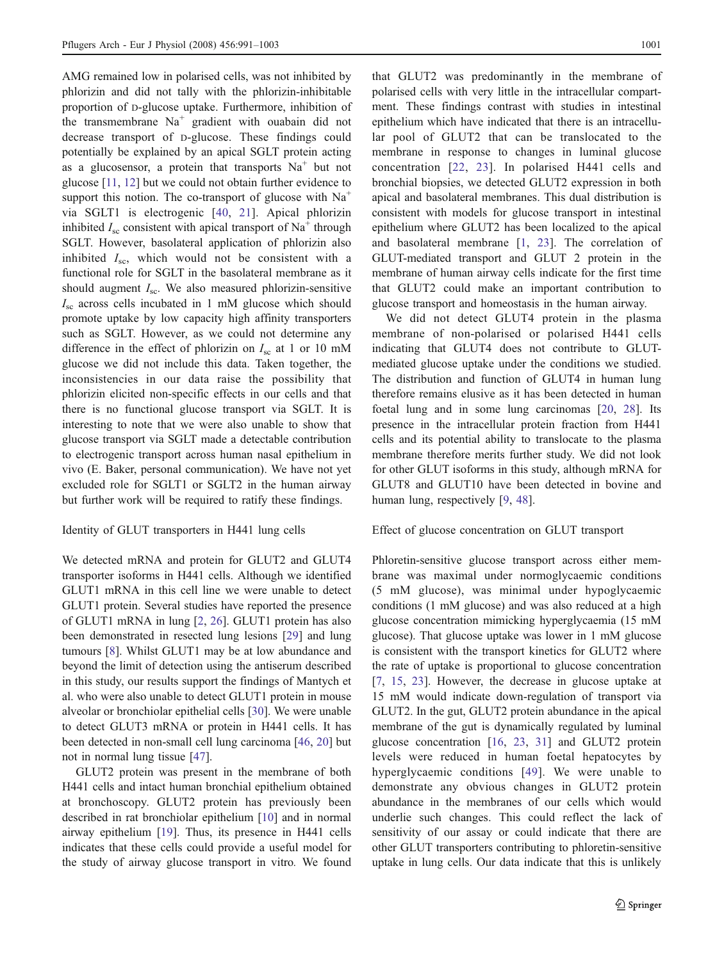AMG remained low in polarised cells, was not inhibited by phlorizin and did not tally with the phlorizin-inhibitable proportion of D-glucose uptake. Furthermore, inhibition of the transmembrane  $Na<sup>+</sup>$  gradient with ouabain did not decrease transport of D-glucose. These findings could potentially be explained by an apical SGLT protein acting as a glucosensor, a protein that transports  $Na<sup>+</sup>$  but not glucose [\[11,](#page-11-0) [12\]](#page-11-0) but we could not obtain further evidence to support this notion. The co-transport of glucose with  $Na<sup>+</sup>$ via SGLT1 is electrogenic [[40,](#page-12-0) [21](#page-11-0)]. Apical phlorizin inhibited  $I_{\rm sc}$  consistent with apical transport of Na<sup>+</sup> through SGLT. However, basolateral application of phlorizin also inhibited  $I_{\rm sc}$ , which would not be consistent with a functional role for SGLT in the basolateral membrane as it should augment  $I_{\rm sc}$ . We also measured phlorizin-sensitive  $I_{\rm sc}$  across cells incubated in 1 mM glucose which should promote uptake by low capacity high affinity transporters such as SGLT. However, as we could not determine any difference in the effect of phlorizin on  $I_{\rm sc}$  at 1 or 10 mM glucose we did not include this data. Taken together, the inconsistencies in our data raise the possibility that phlorizin elicited non-specific effects in our cells and that there is no functional glucose transport via SGLT. It is interesting to note that we were also unable to show that glucose transport via SGLT made a detectable contribution to electrogenic transport across human nasal epithelium in vivo (E. Baker, personal communication). We have not yet excluded role for SGLT1 or SGLT2 in the human airway but further work will be required to ratify these findings.

#### Identity of GLUT transporters in H441 lung cells

We detected mRNA and protein for GLUT2 and GLUT4 transporter isoforms in H441 cells. Although we identified GLUT1 mRNA in this cell line we were unable to detect GLUT1 protein. Several studies have reported the presence of GLUT1 mRNA in lung [[2,](#page-11-0) [26](#page-11-0)]. GLUT1 protein has also been demonstrated in resected lung lesions [[29\]](#page-12-0) and lung tumours [[8\]](#page-11-0). Whilst GLUT1 may be at low abundance and beyond the limit of detection using the antiserum described in this study, our results support the findings of Mantych et al. who were also unable to detect GLUT1 protein in mouse alveolar or bronchiolar epithelial cells [\[30](#page-12-0)]. We were unable to detect GLUT3 mRNA or protein in H441 cells. It has been detected in non-small cell lung carcinoma [\[46](#page-12-0), [20](#page-11-0)] but not in normal lung tissue [\[47](#page-12-0)].

GLUT2 protein was present in the membrane of both H441 cells and intact human bronchial epithelium obtained at bronchoscopy. GLUT2 protein has previously been described in rat bronchiolar epithelium [\[10](#page-11-0)] and in normal airway epithelium [\[19](#page-11-0)]. Thus, its presence in H441 cells indicates that these cells could provide a useful model for the study of airway glucose transport in vitro. We found

that GLUT2 was predominantly in the membrane of polarised cells with very little in the intracellular compartment. These findings contrast with studies in intestinal epithelium which have indicated that there is an intracellular pool of GLUT2 that can be translocated to the membrane in response to changes in luminal glucose concentration [\[22,](#page-11-0) [23](#page-11-0)]. In polarised H441 cells and bronchial biopsies, we detected GLUT2 expression in both apical and basolateral membranes. This dual distribution is consistent with models for glucose transport in intestinal epithelium where GLUT2 has been localized to the apical and basolateral membrane [\[1](#page-11-0), [23](#page-11-0)]. The correlation of GLUT-mediated transport and GLUT 2 protein in the membrane of human airway cells indicate for the first time that GLUT2 could make an important contribution to glucose transport and homeostasis in the human airway.

We did not detect GLUT4 protein in the plasma membrane of non-polarised or polarised H441 cells indicating that GLUT4 does not contribute to GLUTmediated glucose uptake under the conditions we studied. The distribution and function of GLUT4 in human lung therefore remains elusive as it has been detected in human foetal lung and in some lung carcinomas [[20,](#page-11-0) [28](#page-12-0)]. Its presence in the intracellular protein fraction from H441 cells and its potential ability to translocate to the plasma membrane therefore merits further study. We did not look for other GLUT isoforms in this study, although mRNA for GLUT8 and GLUT10 have been detected in bovine and human lung, respectively [\[9](#page-11-0), [48\]](#page-12-0).

### Effect of glucose concentration on GLUT transport

Phloretin-sensitive glucose transport across either membrane was maximal under normoglycaemic conditions (5 mM glucose), was minimal under hypoglycaemic conditions (1 mM glucose) and was also reduced at a high glucose concentration mimicking hyperglycaemia (15 mM glucose). That glucose uptake was lower in 1 mM glucose is consistent with the transport kinetics for GLUT2 where the rate of uptake is proportional to glucose concentration [\[7](#page-11-0), [15,](#page-11-0) [23\]](#page-11-0). However, the decrease in glucose uptake at 15 mM would indicate down-regulation of transport via GLUT2. In the gut, GLUT2 protein abundance in the apical membrane of the gut is dynamically regulated by luminal glucose concentration [[16](#page-11-0), [23,](#page-11-0) [31\]](#page-12-0) and GLUT2 protein levels were reduced in human foetal hepatocytes by hyperglycaemic conditions [\[49\]](#page-12-0). We were unable to demonstrate any obvious changes in GLUT2 protein abundance in the membranes of our cells which would underlie such changes. This could reflect the lack of sensitivity of our assay or could indicate that there are other GLUT transporters contributing to phloretin-sensitive uptake in lung cells. Our data indicate that this is unlikely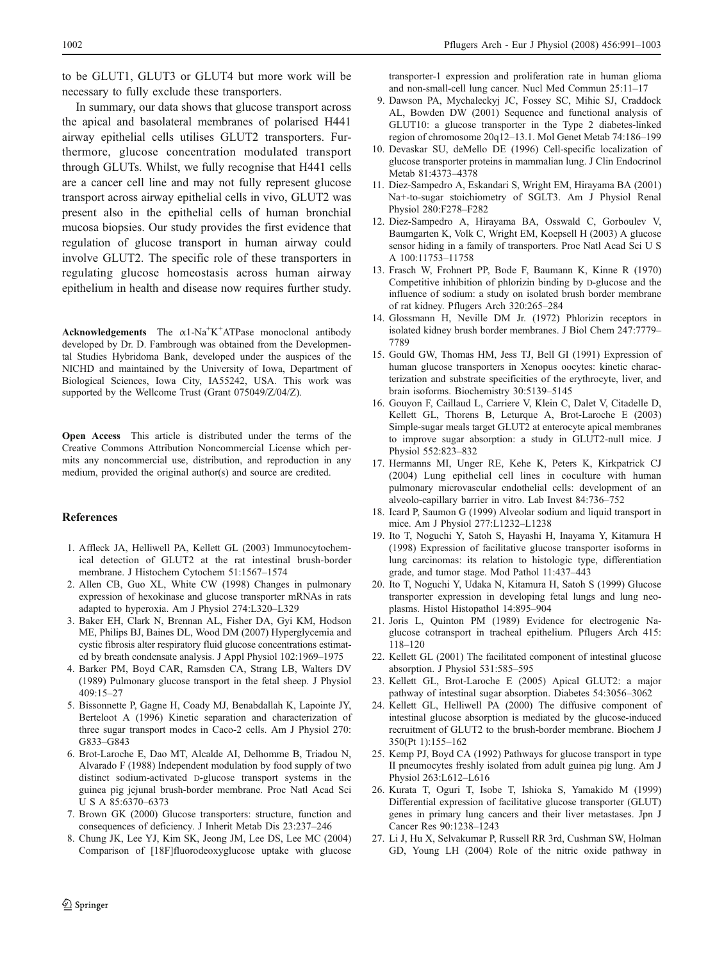<span id="page-11-0"></span>to be GLUT1, GLUT3 or GLUT4 but more work will be necessary to fully exclude these transporters.

In summary, our data shows that glucose transport across the apical and basolateral membranes of polarised H441 airway epithelial cells utilises GLUT2 transporters. Furthermore, glucose concentration modulated transport through GLUTs. Whilst, we fully recognise that H441 cells are a cancer cell line and may not fully represent glucose transport across airway epithelial cells in vivo, GLUT2 was present also in the epithelial cells of human bronchial mucosa biopsies. Our study provides the first evidence that regulation of glucose transport in human airway could involve GLUT2. The specific role of these transporters in regulating glucose homeostasis across human airway epithelium in health and disease now requires further study.

**Acknowledgements** The  $\alpha$ 1-Na<sup>+</sup>K<sup>+</sup>ATPase monoclonal antibody developed by Dr. D. Fambrough was obtained from the Developmental Studies Hybridoma Bank, developed under the auspices of the NICHD and maintained by the University of Iowa, Department of Biological Sciences, Iowa City, IA55242, USA. This work was supported by the Wellcome Trust (Grant 075049/Z/04/Z).

Open Access This article is distributed under the terms of the Creative Commons Attribution Noncommercial License which permits any noncommercial use, distribution, and reproduction in any medium, provided the original author(s) and source are credited.

#### References

- 1. Affleck JA, Helliwell PA, Kellett GL (2003) Immunocytochemical detection of GLUT2 at the rat intestinal brush-border membrane. J Histochem Cytochem 51:1567–1574
- 2. Allen CB, Guo XL, White CW (1998) Changes in pulmonary expression of hexokinase and glucose transporter mRNAs in rats adapted to hyperoxia. Am J Physiol 274:L320–L329
- 3. Baker EH, Clark N, Brennan AL, Fisher DA, Gyi KM, Hodson ME, Philips BJ, Baines DL, Wood DM (2007) Hyperglycemia and cystic fibrosis alter respiratory fluid glucose concentrations estimated by breath condensate analysis. J Appl Physiol 102:1969–1975
- 4. Barker PM, Boyd CAR, Ramsden CA, Strang LB, Walters DV (1989) Pulmonary glucose transport in the fetal sheep. J Physiol 409:15–27
- 5. Bissonnette P, Gagne H, Coady MJ, Benabdallah K, Lapointe JY, Berteloot A (1996) Kinetic separation and characterization of three sugar transport modes in Caco-2 cells. Am J Physiol 270: G833–G843
- 6. Brot-Laroche E, Dao MT, Alcalde AI, Delhomme B, Triadou N, Alvarado F (1988) Independent modulation by food supply of two distinct sodium-activated D-glucose transport systems in the guinea pig jejunal brush-border membrane. Proc Natl Acad Sci U S A 85:6370–6373
- 7. Brown GK (2000) Glucose transporters: structure, function and consequences of deficiency. J Inherit Metab Dis 23:237–246
- 8. Chung JK, Lee YJ, Kim SK, Jeong JM, Lee DS, Lee MC (2004) Comparison of [18F]fluorodeoxyglucose uptake with glucose

transporter-1 expression and proliferation rate in human glioma and non-small-cell lung cancer. Nucl Med Commun 25:11–17

- 9. Dawson PA, Mychaleckyj JC, Fossey SC, Mihic SJ, Craddock AL, Bowden DW (2001) Sequence and functional analysis of GLUT10: a glucose transporter in the Type 2 diabetes-linked region of chromosome 20q12–13.1. Mol Genet Metab 74:186–199
- 10. Devaskar SU, deMello DE (1996) Cell-specific localization of glucose transporter proteins in mammalian lung. J Clin Endocrinol Metab 81:4373–4378
- 11. Diez-Sampedro A, Eskandari S, Wright EM, Hirayama BA (2001) Na+-to-sugar stoichiometry of SGLT3. Am J Physiol Renal Physiol 280:F278–F282
- 12. Diez-Sampedro A, Hirayama BA, Osswald C, Gorboulev V, Baumgarten K, Volk C, Wright EM, Koepsell H (2003) A glucose sensor hiding in a family of transporters. Proc Natl Acad Sci U S A 100:11753–11758
- 13. Frasch W, Frohnert PP, Bode F, Baumann K, Kinne R (1970) Competitive inhibition of phlorizin binding by D-glucose and the influence of sodium: a study on isolated brush border membrane of rat kidney. Pflugers Arch 320:265–284
- 14. Glossmann H, Neville DM Jr. (1972) Phlorizin receptors in isolated kidney brush border membranes. J Biol Chem 247:7779– 7789
- 15. Gould GW, Thomas HM, Jess TJ, Bell GI (1991) Expression of human glucose transporters in Xenopus oocytes: kinetic characterization and substrate specificities of the erythrocyte, liver, and brain isoforms. Biochemistry 30:5139–5145
- 16. Gouyon F, Caillaud L, Carriere V, Klein C, Dalet V, Citadelle D, Kellett GL, Thorens B, Leturque A, Brot-Laroche E (2003) Simple-sugar meals target GLUT2 at enterocyte apical membranes to improve sugar absorption: a study in GLUT2-null mice. J Physiol 552:823–832
- 17. Hermanns MI, Unger RE, Kehe K, Peters K, Kirkpatrick CJ (2004) Lung epithelial cell lines in coculture with human pulmonary microvascular endothelial cells: development of an alveolo-capillary barrier in vitro. Lab Invest 84:736–752
- 18. Icard P, Saumon G (1999) Alveolar sodium and liquid transport in mice. Am J Physiol 277:L1232–L1238
- 19. Ito T, Noguchi Y, Satoh S, Hayashi H, Inayama Y, Kitamura H (1998) Expression of facilitative glucose transporter isoforms in lung carcinomas: its relation to histologic type, differentiation grade, and tumor stage. Mod Pathol 11:437–443
- 20. Ito T, Noguchi Y, Udaka N, Kitamura H, Satoh S (1999) Glucose transporter expression in developing fetal lungs and lung neoplasms. Histol Histopathol 14:895–904
- 21. Joris L, Quinton PM (1989) Evidence for electrogenic Naglucose cotransport in tracheal epithelium. Pflugers Arch 415: 118–120
- 22. Kellett GL (2001) The facilitated component of intestinal glucose absorption. J Physiol 531:585–595
- 23. Kellett GL, Brot-Laroche E (2005) Apical GLUT2: a major pathway of intestinal sugar absorption. Diabetes 54:3056–3062
- 24. Kellett GL, Helliwell PA (2000) The diffusive component of intestinal glucose absorption is mediated by the glucose-induced recruitment of GLUT2 to the brush-border membrane. Biochem J 350(Pt 1):155–162
- 25. Kemp PJ, Boyd CA (1992) Pathways for glucose transport in type II pneumocytes freshly isolated from adult guinea pig lung. Am J Physiol 263:L612–L616
- 26. Kurata T, Oguri T, Isobe T, Ishioka S, Yamakido M (1999) Differential expression of facilitative glucose transporter (GLUT) genes in primary lung cancers and their liver metastases. Jpn J Cancer Res 90:1238–1243
- 27. Li J, Hu X, Selvakumar P, Russell RR 3rd, Cushman SW, Holman GD, Young LH (2004) Role of the nitric oxide pathway in